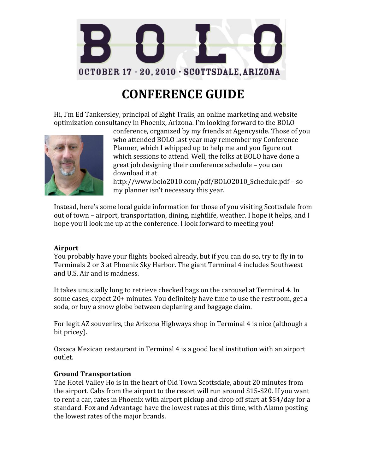

# **CONFERENCE GUIDE**

Hi, I'm Ed Tankersley, principal of Eight Trails, an online marketing and website optimization consultancy in Phoenix, Arizona. I'm looking forward to the BOLO



conference, organized by my friends at Agencyside. Those of you who attended BOLO last year may remember my Conference Planner, which I whipped up to help me and you figure out which sessions to attend. Well, the folks at BOLO have done a great job designing their conference schedule – you can download it at

http://www.bolo2010.com/pdf/BOLO2010\_Schedule.pdf – so my planner isn't necessary this year.

Instead, here's some local guide information for those of you visiting Scottsdale from out of town – airport, transportation, dining, nightlife, weather. I hope it helps, and I hope you'll look me up at the conference. I look forward to meeting you!

#### **Airport**

You probably have your flights booked already, but if you can do so, try to fly in to Terminals 2 or 3 at Phoenix Sky Harbor. The giant Terminal 4 includes Southwest and U.S. Air and is madness.

It takes unusually long to retrieve checked bags on the carousel at Terminal 4. In some cases, expect 20+ minutes. You definitely have time to use the restroom, get a soda, or buy a snow globe between deplaning and baggage claim.

For legit AZ souvenirs, the Arizona Highways shop in Terminal 4 is nice (although a bit pricey).

Oaxaca Mexican restaurant in Terminal 4 is a good local institution with an airport outlet.

#### **Ground Transportation**

The Hotel Valley Ho is in the heart of Old Town Scottsdale, about 20 minutes from the airport. Cabs from the airport to the resort will run around \$15‐\$20. If you want to rent a car, rates in Phoenix with airport pickup and drop-off start at \$54/day for a standard. Fox and Advantage have the lowest rates at this time, with Alamo posting the lowest rates of the major brands.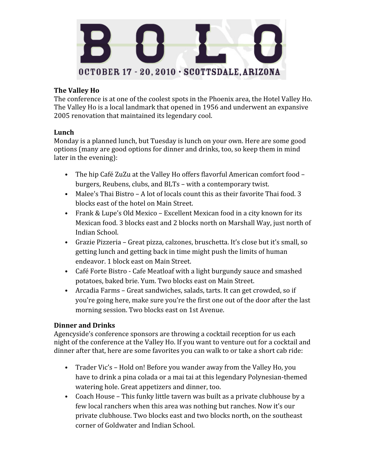

# **The Valley Ho**

The conference is at one of the coolest spots in the Phoenix area, the Hotel Valley Ho. The Valley Ho is a local landmark that opened in 1956 and underwent an expansive 2005 renovation that maintained its legendary cool.

## **Lunch**

Monday is a planned lunch, but Tuesday is lunch on your own. Here are some good options (many are good options for dinner and drinks, too, so keep them in mind later in the evening):

- The hip Café ZuZu at the Valley Ho offers flavorful American comfort food burgers, Reubens, clubs, and BLTs – with a contemporary twist.
- Malee's Thai Bistro A lot of locals count this as their favorite Thai food. 3 blocks east of the hotel on Main Street.
- Frank & Lupe's Old Mexico Excellent Mexican food in a city known for its Mexican food. 3 blocks east and 2 blocks north on Marshall Way, just north of Indian School.
- Grazie Pizzeria Great pizza, calzones, bruschetta. It's close but it's small, so getting lunch and getting back in time might push the limits of human endeavor. 1 block east on Main Street.
- Café Forte Bistro ‐ Cafe Meatloaf with a light burgundy sauce and smashed potatoes, baked brie. Yum. Two blocks east on Main Street.
- Arcadia Farms Great sandwiches, salads, tarts. It can get crowded, so if you're going here, make sure you're the first one out of the door after the last morning session. Two blocks east on 1st Avenue.

# **Dinner and Drinks**

Agencyside's conference sponsors are throwing a cocktail reception for us each night of the conference at the Valley Ho. If you want to venture out for a cocktail and dinner after that, here are some favorites you can walk to or take a short cab ride:

- Trader Vic's Hold on! Before you wander away from the Valley Ho, you have to drink a pina colada or a mai tai at this legendary Polynesian-themed watering hole. Great appetizers and dinner, too.
- Coach House This funky little tavern was built as a private clubhouse by a few local ranchers when this area was nothing but ranches. Now it's our private clubhouse. Two blocks east and two blocks north, on the southeast corner of Goldwater and Indian School.